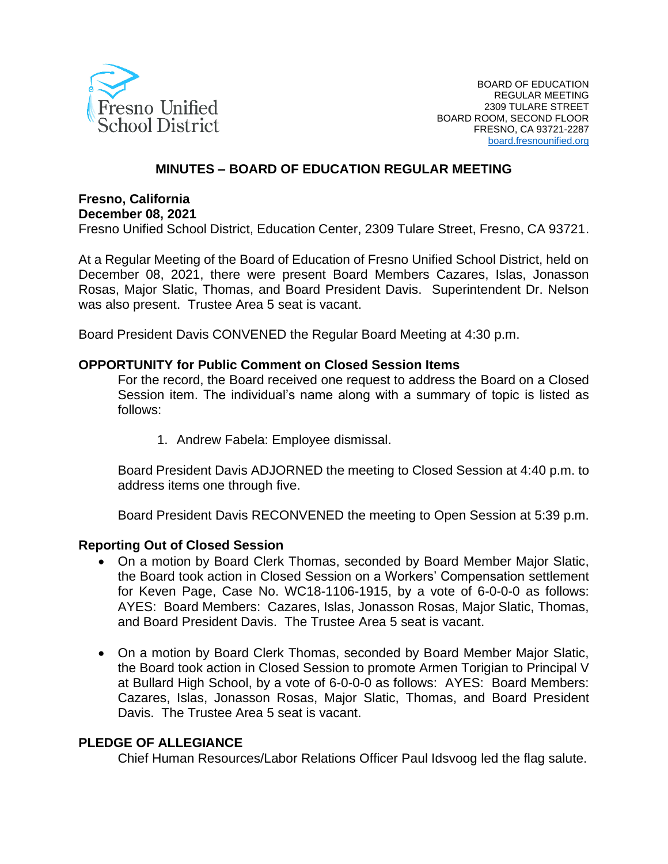

#### **MINUTES – BOARD OF EDUCATION REGULAR MEETING**

# **Fresno, California**

**December 08, 2021**

Fresno Unified School District, Education Center, 2309 Tulare Street, Fresno, CA 93721.

At a Regular Meeting of the Board of Education of Fresno Unified School District, held on December 08, 2021, there were present Board Members Cazares, Islas, Jonasson Rosas, Major Slatic, Thomas, and Board President Davis. Superintendent Dr. Nelson was also present. Trustee Area 5 seat is vacant.

Board President Davis CONVENED the Regular Board Meeting at 4:30 p.m.

#### **OPPORTUNITY for Public Comment on Closed Session Items**

For the record, the Board received one request to address the Board on a Closed Session item. The individual's name along with a summary of topic is listed as follows:

1. Andrew Fabela: Employee dismissal.

Board President Davis ADJORNED the meeting to Closed Session at 4:40 p.m. to address items one through five.

Board President Davis RECONVENED the meeting to Open Session at 5:39 p.m.

#### **Reporting Out of Closed Session**

- On a motion by Board Clerk Thomas, seconded by Board Member Major Slatic, the Board took action in Closed Session on a Workers' Compensation settlement for Keven Page, Case No. WC18-1106-1915, by a vote of 6-0-0-0 as follows: AYES: Board Members: Cazares, Islas, Jonasson Rosas, Major Slatic, Thomas, and Board President Davis. The Trustee Area 5 seat is vacant.
- On a motion by Board Clerk Thomas, seconded by Board Member Major Slatic, the Board took action in Closed Session to promote Armen Torigian to Principal V at Bullard High School, by a vote of 6-0-0-0 as follows: AYES: Board Members: Cazares, Islas, Jonasson Rosas, Major Slatic, Thomas, and Board President Davis. The Trustee Area 5 seat is vacant.

#### **PLEDGE OF ALLEGIANCE**

Chief Human Resources/Labor Relations Officer Paul Idsvoog led the flag salute.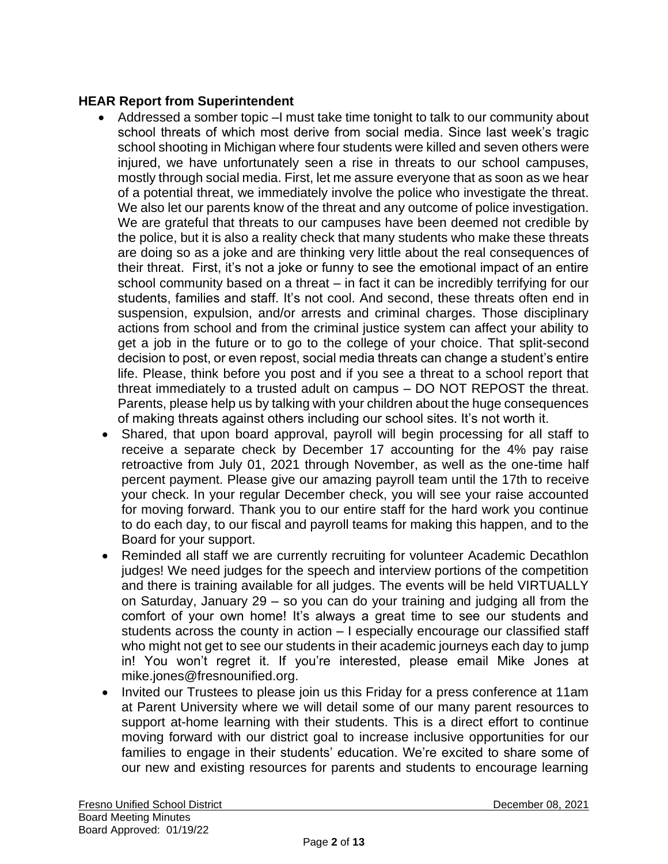## **HEAR Report from Superintendent**

- Addressed a somber topic –I must take time tonight to talk to our community about school threats of which most derive from social media. Since last week's tragic school shooting in Michigan where four students were killed and seven others were injured, we have unfortunately seen a rise in threats to our school campuses, mostly through social media. First, let me assure everyone that as soon as we hear of a potential threat, we immediately involve the police who investigate the threat. We also let our parents know of the threat and any outcome of police investigation. We are grateful that threats to our campuses have been deemed not credible by the police, but it is also a reality check that many students who make these threats are doing so as a joke and are thinking very little about the real consequences of their threat. First, it's not a joke or funny to see the emotional impact of an entire school community based on a threat – in fact it can be incredibly terrifying for our students, families and staff. It's not cool. And second, these threats often end in suspension, expulsion, and/or arrests and criminal charges. Those disciplinary actions from school and from the criminal justice system can affect your ability to get a job in the future or to go to the college of your choice. That split-second decision to post, or even repost, social media threats can change a student's entire life. Please, think before you post and if you see a threat to a school report that threat immediately to a trusted adult on campus – DO NOT REPOST the threat. Parents, please help us by talking with your children about the huge consequences of making threats against others including our school sites. It's not worth it.
- Shared, that upon board approval, payroll will begin processing for all staff to receive a separate check by December 17 accounting for the 4% pay raise retroactive from July 01, 2021 through November, as well as the one-time half percent payment. Please give our amazing payroll team until the 17th to receive your check. In your regular December check, you will see your raise accounted for moving forward. Thank you to our entire staff for the hard work you continue to do each day, to our fiscal and payroll teams for making this happen, and to the Board for your support.
- Reminded all staff we are currently recruiting for volunteer Academic Decathlon judges! We need judges for the speech and interview portions of the competition and there is training available for all judges. The events will be held VIRTUALLY on Saturday, January 29 – so you can do your training and judging all from the comfort of your own home! It's always a great time to see our students and students across the county in action – I especially encourage our classified staff who might not get to see our students in their academic journeys each day to jump in! You won't regret it. If you're interested, please email Mike Jones at mike.jones@fresnounified.org.
- Invited our Trustees to please join us this Friday for a press conference at 11am at Parent University where we will detail some of our many parent resources to support at-home learning with their students. This is a direct effort to continue moving forward with our district goal to increase inclusive opportunities for our families to engage in their students' education. We're excited to share some of our new and existing resources for parents and students to encourage learning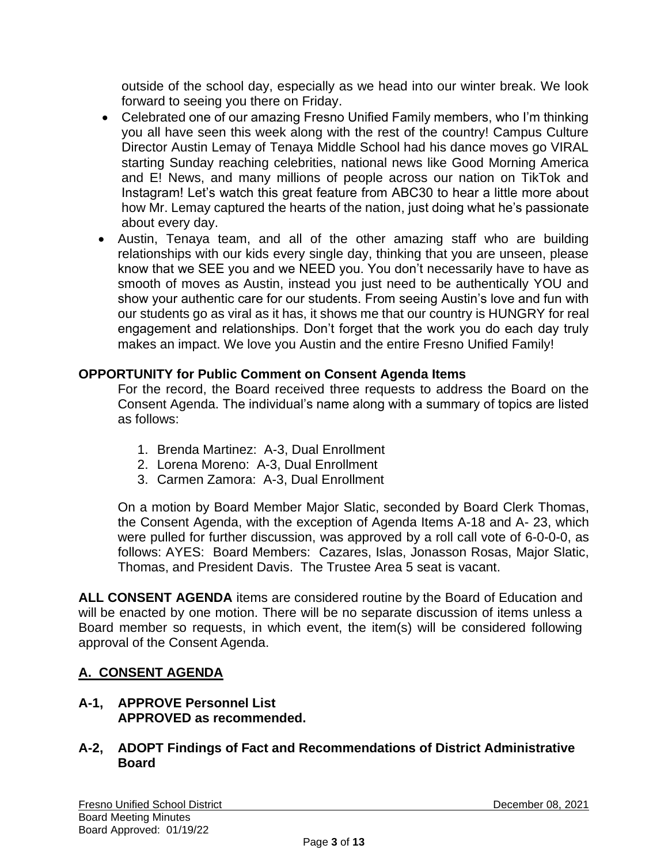outside of the school day, especially as we head into our winter break. We look forward to seeing you there on Friday.

- Celebrated one of our amazing Fresno Unified Family members, who I'm thinking you all have seen this week along with the rest of the country! Campus Culture Director Austin Lemay of Tenaya Middle School had his dance moves go VIRAL starting Sunday reaching celebrities, national news like Good Morning America and E! News, and many millions of people across our nation on TikTok and Instagram! Let's watch this great feature from ABC30 to hear a little more about how Mr. Lemay captured the hearts of the nation, just doing what he's passionate about every day.
- Austin, Tenaya team, and all of the other amazing staff who are building relationships with our kids every single day, thinking that you are unseen, please know that we SEE you and we NEED you. You don't necessarily have to have as smooth of moves as Austin, instead you just need to be authentically YOU and show your authentic care for our students. From seeing Austin's love and fun with our students go as viral as it has, it shows me that our country is HUNGRY for real engagement and relationships. Don't forget that the work you do each day truly makes an impact. We love you Austin and the entire Fresno Unified Family!

## **OPPORTUNITY for Public Comment on Consent Agenda Items**

For the record, the Board received three requests to address the Board on the Consent Agenda. The individual's name along with a summary of topics are listed as follows:

- 1. Brenda Martinez: A-3, Dual Enrollment
- 2. Lorena Moreno: A-3, Dual Enrollment
- 3. Carmen Zamora: A-3, Dual Enrollment

On a motion by Board Member Major Slatic, seconded by Board Clerk Thomas, the Consent Agenda, with the exception of Agenda Items A-18 and A- 23, which were pulled for further discussion, was approved by a roll call vote of 6-0-0-0, as follows: AYES: Board Members: Cazares, Islas, Jonasson Rosas, Major Slatic, Thomas, and President Davis. The Trustee Area 5 seat is vacant.

**ALL CONSENT AGENDA** items are considered routine by the Board of Education and will be enacted by one motion. There will be no separate discussion of items unless a Board member so requests, in which event, the item(s) will be considered following approval of the Consent Agenda.

## **A. CONSENT AGENDA**

**A-1, APPROVE Personnel List APPROVED as recommended.**

### **A-2, ADOPT Findings of Fact and Recommendations of District Administrative Board**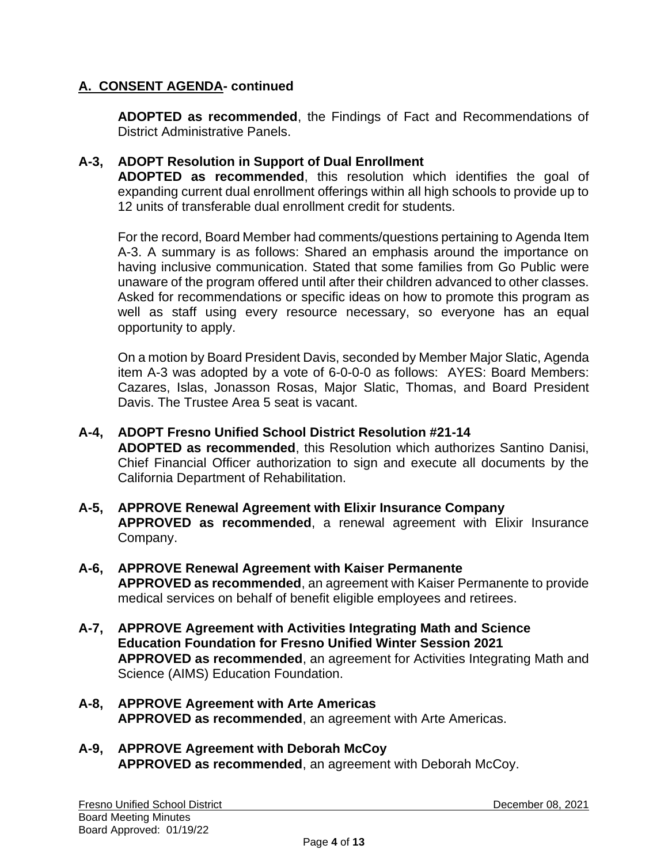**ADOPTED as recommended**, the Findings of Fact and Recommendations of District Administrative Panels.

### **A-3, ADOPT Resolution in Support of Dual Enrollment**

**ADOPTED as recommended**, this resolution which identifies the goal of expanding current dual enrollment offerings within all high schools to provide up to 12 units of transferable dual enrollment credit for students.

For the record, Board Member had comments/questions pertaining to Agenda Item A-3. A summary is as follows: Shared an emphasis around the importance on having inclusive communication. Stated that some families from Go Public were unaware of the program offered until after their children advanced to other classes. Asked for recommendations or specific ideas on how to promote this program as well as staff using every resource necessary, so everyone has an equal opportunity to apply.

On a motion by Board President Davis, seconded by Member Major Slatic, Agenda item A-3 was adopted by a vote of 6-0-0-0 as follows: AYES: Board Members: Cazares, Islas, Jonasson Rosas, Major Slatic, Thomas, and Board President Davis. The Trustee Area 5 seat is vacant.

- **A-4, ADOPT Fresno Unified School District Resolution #21-14 ADOPTED as recommended**, this Resolution which authorizes Santino Danisi, Chief Financial Officer authorization to sign and execute all documents by the California Department of Rehabilitation.
- **A-5, APPROVE Renewal Agreement with Elixir Insurance Company APPROVED as recommended**, a renewal agreement with Elixir Insurance Company.
- **A-6, APPROVE Renewal Agreement with Kaiser Permanente APPROVED as recommended**, an agreement with Kaiser Permanente to provide medical services on behalf of benefit eligible employees and retirees.
- **A-7, APPROVE Agreement with Activities Integrating Math and Science Education Foundation for Fresno Unified Winter Session 2021 APPROVED as recommended**, an agreement for Activities Integrating Math and Science (AIMS) Education Foundation.
- **A-8, APPROVE Agreement with Arte Americas APPROVED as recommended**, an agreement with Arte Americas.
- **A-9, APPROVE Agreement with Deborah McCoy APPROVED as recommended**, an agreement with Deborah McCoy.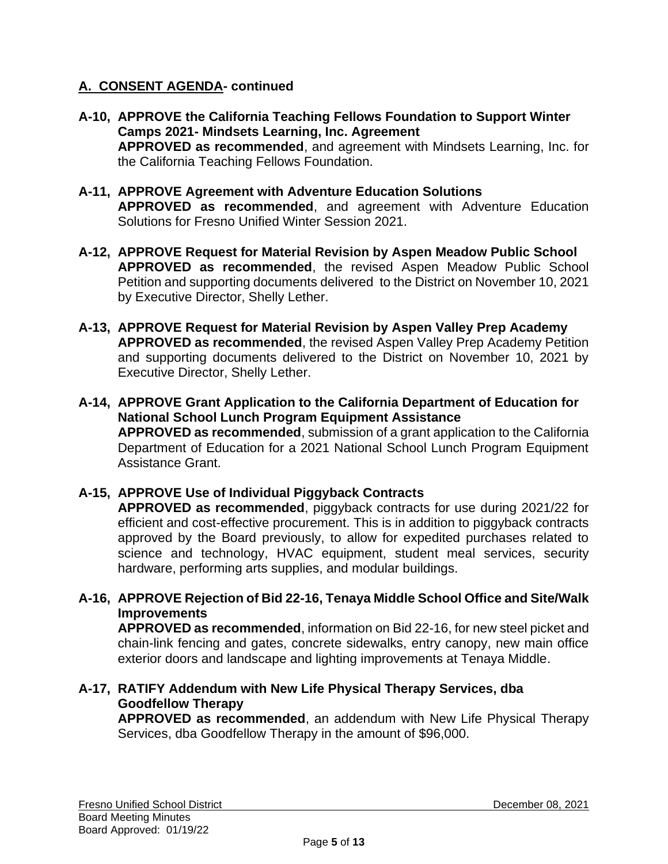- **A-10, APPROVE the California Teaching Fellows Foundation to Support Winter Camps 2021- Mindsets Learning, Inc. Agreement APPROVED as recommended**, and agreement with Mindsets Learning, Inc. for the California Teaching Fellows Foundation.
- **A-11, APPROVE Agreement with Adventure Education Solutions APPROVED as recommended**, and agreement with Adventure Education Solutions for Fresno Unified Winter Session 2021.
- **A-12, APPROVE Request for Material Revision by Aspen Meadow Public School APPROVED as recommended**, the revised Aspen Meadow Public School Petition and supporting documents delivered to the District on November 10, 2021 by Executive Director, Shelly Lether.
- **A-13, APPROVE Request for Material Revision by Aspen Valley Prep Academy APPROVED as recommended**, the revised Aspen Valley Prep Academy Petition and supporting documents delivered to the District on November 10, 2021 by Executive Director, Shelly Lether.
- **A-14, APPROVE Grant Application to the California Department of Education for National School Lunch Program Equipment Assistance APPROVED as recommended**, submission of a grant application to the California Department of Education for a 2021 National School Lunch Program Equipment Assistance Grant.

## **A-15, APPROVE Use of Individual Piggyback Contracts**

**APPROVED as recommended**, piggyback contracts for use during 2021/22 for efficient and cost-effective procurement. This is in addition to piggyback contracts approved by the Board previously, to allow for expedited purchases related to science and technology, HVAC equipment, student meal services, security hardware, performing arts supplies, and modular buildings.

**A-16, APPROVE Rejection of Bid 22-16, Tenaya Middle School Office and Site/Walk Improvements**

**APPROVED as recommended**, information on Bid 22-16, for new steel picket and chain-link fencing and gates, concrete sidewalks, entry canopy, new main office exterior doors and landscape and lighting improvements at Tenaya Middle.

**A-17, RATIFY Addendum with New Life Physical Therapy Services, dba Goodfellow Therapy**

**APPROVED as recommended**, an addendum with New Life Physical Therapy Services, dba Goodfellow Therapy in the amount of \$96,000.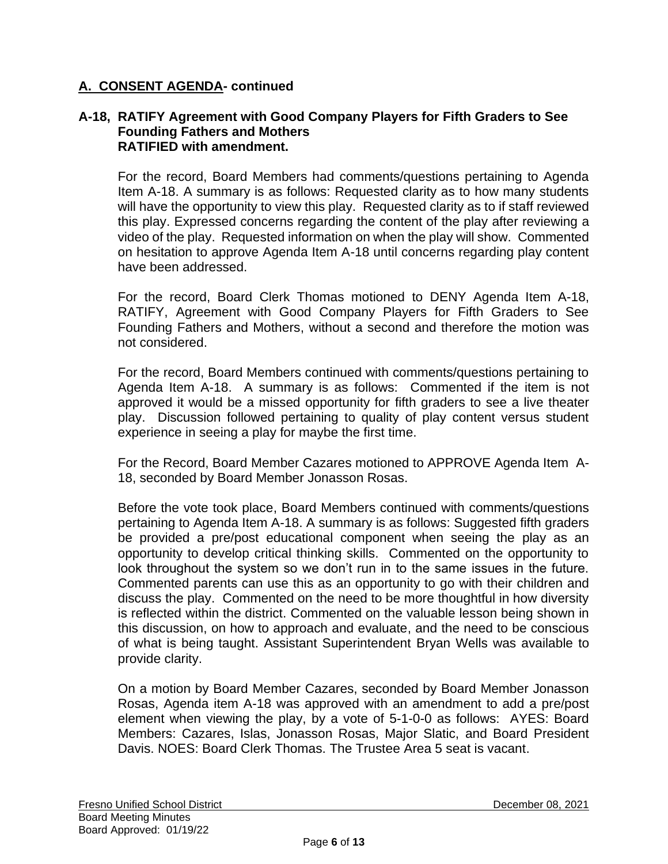#### **A-18, RATIFY Agreement with Good Company Players for Fifth Graders to See Founding Fathers and Mothers RATIFIED with amendment.**

For the record, Board Members had comments/questions pertaining to Agenda Item A-18. A summary is as follows: Requested clarity as to how many students will have the opportunity to view this play. Requested clarity as to if staff reviewed this play. Expressed concerns regarding the content of the play after reviewing a video of the play. Requested information on when the play will show. Commented on hesitation to approve Agenda Item A-18 until concerns regarding play content have been addressed.

For the record, Board Clerk Thomas motioned to DENY Agenda Item A-18, RATIFY, Agreement with Good Company Players for Fifth Graders to See Founding Fathers and Mothers, without a second and therefore the motion was not considered.

For the record, Board Members continued with comments/questions pertaining to Agenda Item A-18. A summary is as follows: Commented if the item is not approved it would be a missed opportunity for fifth graders to see a live theater play. Discussion followed pertaining to quality of play content versus student experience in seeing a play for maybe the first time.

For the Record, Board Member Cazares motioned to APPROVE Agenda Item A-18, seconded by Board Member Jonasson Rosas.

Before the vote took place, Board Members continued with comments/questions pertaining to Agenda Item A-18. A summary is as follows: Suggested fifth graders be provided a pre/post educational component when seeing the play as an opportunity to develop critical thinking skills. Commented on the opportunity to look throughout the system so we don't run in to the same issues in the future. Commented parents can use this as an opportunity to go with their children and discuss the play. Commented on the need to be more thoughtful in how diversity is reflected within the district. Commented on the valuable lesson being shown in this discussion, on how to approach and evaluate, and the need to be conscious of what is being taught. Assistant Superintendent Bryan Wells was available to provide clarity.

On a motion by Board Member Cazares, seconded by Board Member Jonasson Rosas, Agenda item A-18 was approved with an amendment to add a pre/post element when viewing the play, by a vote of 5-1-0-0 as follows: AYES: Board Members: Cazares, Islas, Jonasson Rosas, Major Slatic, and Board President Davis. NOES: Board Clerk Thomas. The Trustee Area 5 seat is vacant.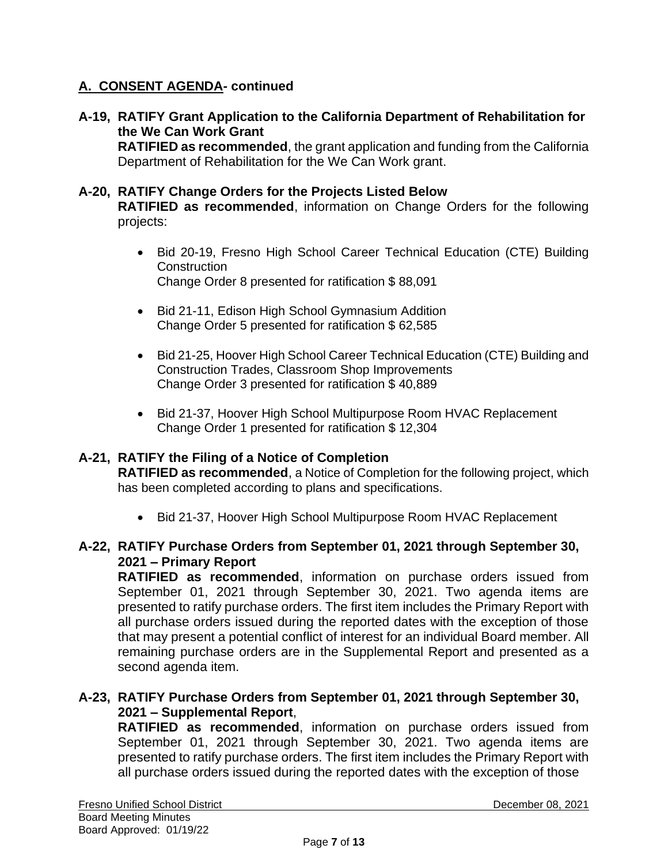**A-19, RATIFY Grant Application to the California Department of Rehabilitation for the We Can Work Grant**

**RATIFIED as recommended**, the grant application and funding from the California Department of Rehabilitation for the We Can Work grant.

## **A-20, RATIFY Change Orders for the Projects Listed Below**

**RATIFIED as recommended**, information on Change Orders for the following projects:

- Bid 20-19, Fresno High School Career Technical Education (CTE) Building **Construction** Change Order 8 presented for ratification \$ 88,091
- Bid 21-11, Edison High School Gymnasium Addition Change Order 5 presented for ratification \$ 62,585
- Bid 21-25, Hoover High School Career Technical Education (CTE) Building and Construction Trades, Classroom Shop Improvements Change Order 3 presented for ratification \$ 40,889
- Bid 21-37, Hoover High School Multipurpose Room HVAC Replacement Change Order 1 presented for ratification \$ 12,304

#### **A-21, RATIFY the Filing of a Notice of Completion**

**RATIFIED as recommended**, a Notice of Completion for the following project, which has been completed according to plans and specifications.

• Bid 21-37, Hoover High School Multipurpose Room HVAC Replacement

### **A-22, RATIFY Purchase Orders from September 01, 2021 through September 30, 2021 – Primary Report**

**RATIFIED as recommended**, information on purchase orders issued from September 01, 2021 through September 30, 2021. Two agenda items are presented to ratify purchase orders. The first item includes the Primary Report with all purchase orders issued during the reported dates with the exception of those that may present a potential conflict of interest for an individual Board member. All remaining purchase orders are in the Supplemental Report and presented as a second agenda item.

#### **A-23, RATIFY Purchase Orders from September 01, 2021 through September 30, 2021 – Supplemental Report**,

**RATIFIED as recommended**, information on purchase orders issued from September 01, 2021 through September 30, 2021. Two agenda items are presented to ratify purchase orders. The first item includes the Primary Report with all purchase orders issued during the reported dates with the exception of those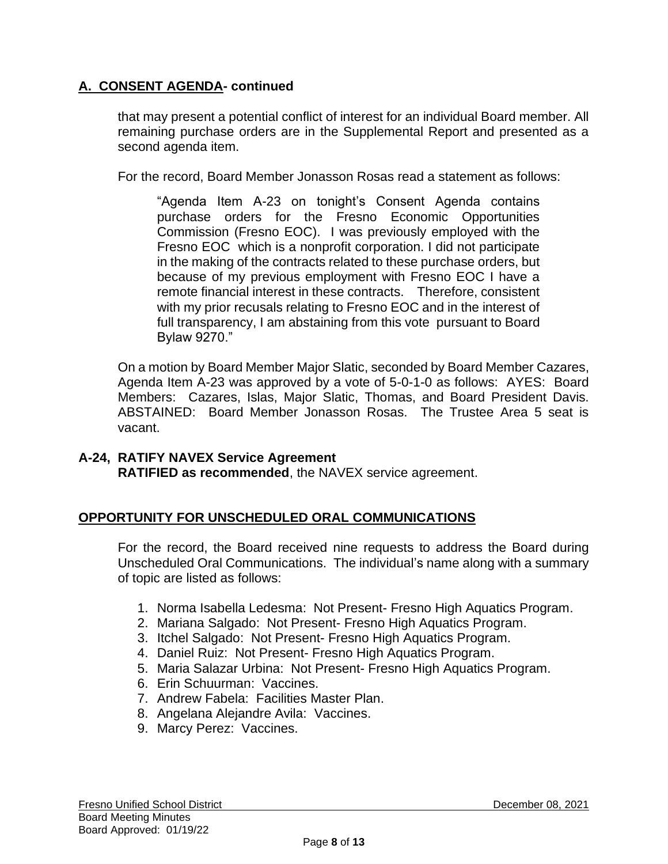that may present a potential conflict of interest for an individual Board member. All remaining purchase orders are in the Supplemental Report and presented as a second agenda item.

For the record, Board Member Jonasson Rosas read a statement as follows:

"Agenda Item A-23 on tonight's Consent Agenda contains purchase orders for the Fresno Economic Opportunities Commission (Fresno EOC). I was previously employed with the Fresno EOC which is a nonprofit corporation. I did not participate in the making of the contracts related to these purchase orders, but because of my previous employment with Fresno EOC I have a remote financial interest in these contracts. Therefore, consistent with my prior recusals relating to Fresno EOC and in the interest of full transparency, I am abstaining from this vote pursuant to Board Bylaw 9270."

On a motion by Board Member Major Slatic, seconded by Board Member Cazares, Agenda Item A-23 was approved by a vote of 5-0-1-0 as follows: AYES: Board Members: Cazares, Islas, Major Slatic, Thomas, and Board President Davis. ABSTAINED: Board Member Jonasson Rosas. The Trustee Area 5 seat is vacant.

#### **A-24, RATIFY NAVEX Service Agreement RATIFIED as recommended**, the NAVEX service agreement.

## **OPPORTUNITY FOR UNSCHEDULED ORAL COMMUNICATIONS**

For the record, the Board received nine requests to address the Board during Unscheduled Oral Communications. The individual's name along with a summary of topic are listed as follows:

- 1. Norma Isabella Ledesma: Not Present- Fresno High Aquatics Program.
- 2. Mariana Salgado: Not Present- Fresno High Aquatics Program.
- 3. Itchel Salgado: Not Present- Fresno High Aquatics Program.
- 4. Daniel Ruiz: Not Present- Fresno High Aquatics Program.
- 5. Maria Salazar Urbina: Not Present- Fresno High Aquatics Program.
- 6. Erin Schuurman: Vaccines.
- 7. Andrew Fabela: Facilities Master Plan.
- 8. Angelana Alejandre Avila: Vaccines.
- 9. Marcy Perez: Vaccines.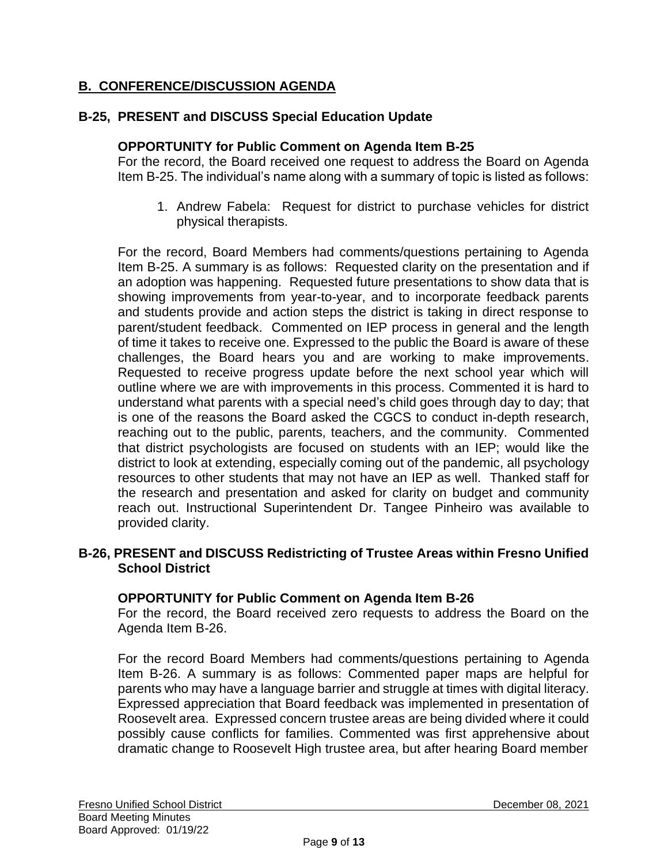## **B. CONFERENCE/DISCUSSION AGENDA**

## **B-25, PRESENT and DISCUSS Special Education Update**

### **OPPORTUNITY for Public Comment on Agenda Item B-25**

For the record, the Board received one request to address the Board on Agenda Item B-25. The individual's name along with a summary of topic is listed as follows:

1. Andrew Fabela: Request for district to purchase vehicles for district physical therapists.

For the record, Board Members had comments/questions pertaining to Agenda Item B-25. A summary is as follows: Requested clarity on the presentation and if an adoption was happening. Requested future presentations to show data that is showing improvements from year-to-year, and to incorporate feedback parents and students provide and action steps the district is taking in direct response to parent/student feedback. Commented on IEP process in general and the length of time it takes to receive one. Expressed to the public the Board is aware of these challenges, the Board hears you and are working to make improvements. Requested to receive progress update before the next school year which will outline where we are with improvements in this process. Commented it is hard to understand what parents with a special need's child goes through day to day; that is one of the reasons the Board asked the CGCS to conduct in-depth research, reaching out to the public, parents, teachers, and the community. Commented that district psychologists are focused on students with an IEP; would like the district to look at extending, especially coming out of the pandemic, all psychology resources to other students that may not have an IEP as well. Thanked staff for the research and presentation and asked for clarity on budget and community reach out. Instructional Superintendent Dr. Tangee Pinheiro was available to provided clarity.

### **B-26, PRESENT and DISCUSS Redistricting of Trustee Areas within Fresno Unified School District**

#### **OPPORTUNITY for Public Comment on Agenda Item B-26**

For the record, the Board received zero requests to address the Board on the Agenda Item B-26.

For the record Board Members had comments/questions pertaining to Agenda Item B-26. A summary is as follows: Commented paper maps are helpful for parents who may have a language barrier and struggle at times with digital literacy. Expressed appreciation that Board feedback was implemented in presentation of Roosevelt area. Expressed concern trustee areas are being divided where it could possibly cause conflicts for families. Commented was first apprehensive about dramatic change to Roosevelt High trustee area, but after hearing Board member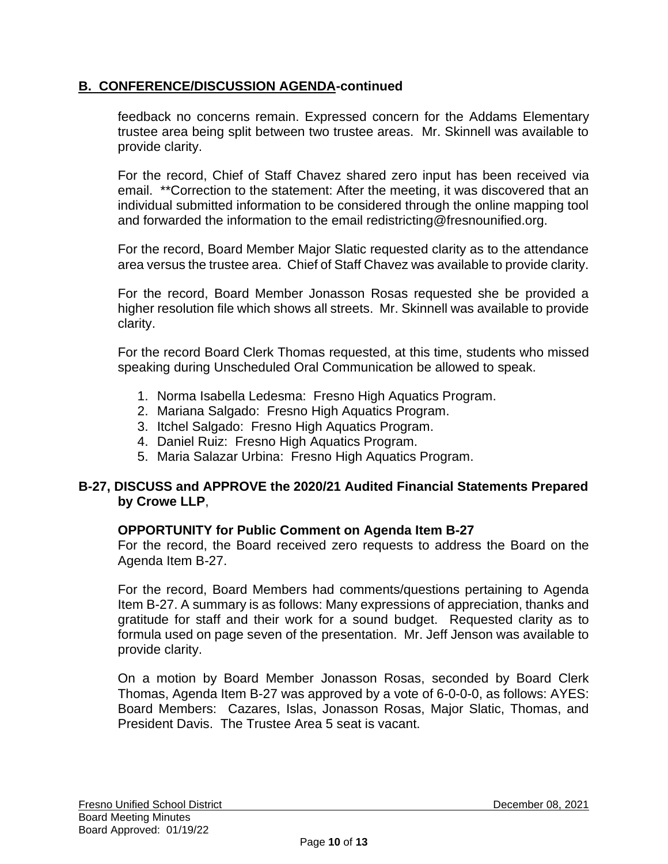## **B. CONFERENCE/DISCUSSION AGENDA-continued**

feedback no concerns remain. Expressed concern for the Addams Elementary trustee area being split between two trustee areas. Mr. Skinnell was available to provide clarity.

For the record, Chief of Staff Chavez shared zero input has been received via email. \*\*Correction to the statement: After the meeting, it was discovered that an individual submitted information to be considered through the online mapping tool and forwarded the information to the email redistricting@fresnounified.org.

For the record, Board Member Major Slatic requested clarity as to the attendance area versus the trustee area. Chief of Staff Chavez was available to provide clarity.

For the record, Board Member Jonasson Rosas requested she be provided a higher resolution file which shows all streets. Mr. Skinnell was available to provide clarity.

For the record Board Clerk Thomas requested, at this time, students who missed speaking during Unscheduled Oral Communication be allowed to speak.

- 1. Norma Isabella Ledesma: Fresno High Aquatics Program.
- 2. Mariana Salgado: Fresno High Aquatics Program.
- 3. Itchel Salgado: Fresno High Aquatics Program.
- 4. Daniel Ruiz: Fresno High Aquatics Program.
- 5. Maria Salazar Urbina: Fresno High Aquatics Program.

### **B-27, DISCUSS and APPROVE the 2020/21 Audited Financial Statements Prepared by Crowe LLP**,

#### **OPPORTUNITY for Public Comment on Agenda Item B-27**

For the record, the Board received zero requests to address the Board on the Agenda Item B-27.

For the record, Board Members had comments/questions pertaining to Agenda Item B-27. A summary is as follows: Many expressions of appreciation, thanks and gratitude for staff and their work for a sound budget. Requested clarity as to formula used on page seven of the presentation. Mr. Jeff Jenson was available to provide clarity.

On a motion by Board Member Jonasson Rosas, seconded by Board Clerk Thomas, Agenda Item B-27 was approved by a vote of 6-0-0-0, as follows: AYES: Board Members: Cazares, Islas, Jonasson Rosas, Major Slatic, Thomas, and President Davis. The Trustee Area 5 seat is vacant.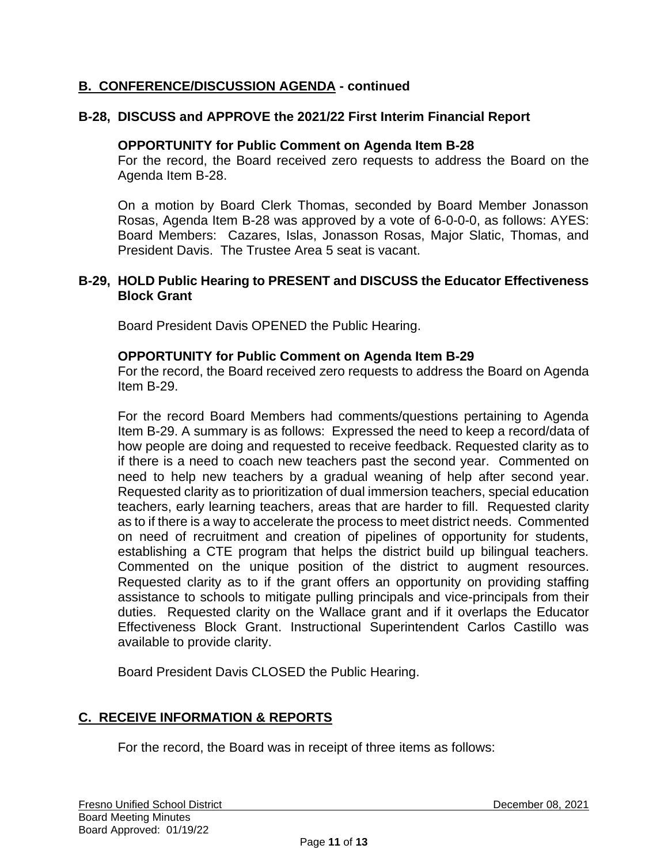## **B. CONFERENCE/DISCUSSION AGENDA - continued**

### **B-28, DISCUSS and APPROVE the 2021/22 First Interim Financial Report**

#### **OPPORTUNITY for Public Comment on Agenda Item B-28**

For the record, the Board received zero requests to address the Board on the Agenda Item B-28.

On a motion by Board Clerk Thomas, seconded by Board Member Jonasson Rosas, Agenda Item B-28 was approved by a vote of 6-0-0-0, as follows: AYES: Board Members: Cazares, Islas, Jonasson Rosas, Major Slatic, Thomas, and President Davis. The Trustee Area 5 seat is vacant.

#### **B-29, HOLD Public Hearing to PRESENT and DISCUSS the Educator Effectiveness Block Grant**

Board President Davis OPENED the Public Hearing.

#### **OPPORTUNITY for Public Comment on Agenda Item B-29**

For the record, the Board received zero requests to address the Board on Agenda Item B-29.

For the record Board Members had comments/questions pertaining to Agenda Item B-29. A summary is as follows: Expressed the need to keep a record/data of how people are doing and requested to receive feedback. Requested clarity as to if there is a need to coach new teachers past the second year. Commented on need to help new teachers by a gradual weaning of help after second year. Requested clarity as to prioritization of dual immersion teachers, special education teachers, early learning teachers, areas that are harder to fill. Requested clarity as to if there is a way to accelerate the process to meet district needs. Commented on need of recruitment and creation of pipelines of opportunity for students, establishing a CTE program that helps the district build up bilingual teachers. Commented on the unique position of the district to augment resources. Requested clarity as to if the grant offers an opportunity on providing staffing assistance to schools to mitigate pulling principals and vice-principals from their duties. Requested clarity on the Wallace grant and if it overlaps the Educator Effectiveness Block Grant. Instructional Superintendent Carlos Castillo was available to provide clarity.

Board President Davis CLOSED the Public Hearing.

## **C. RECEIVE INFORMATION & REPORTS**

For the record, the Board was in receipt of three items as follows: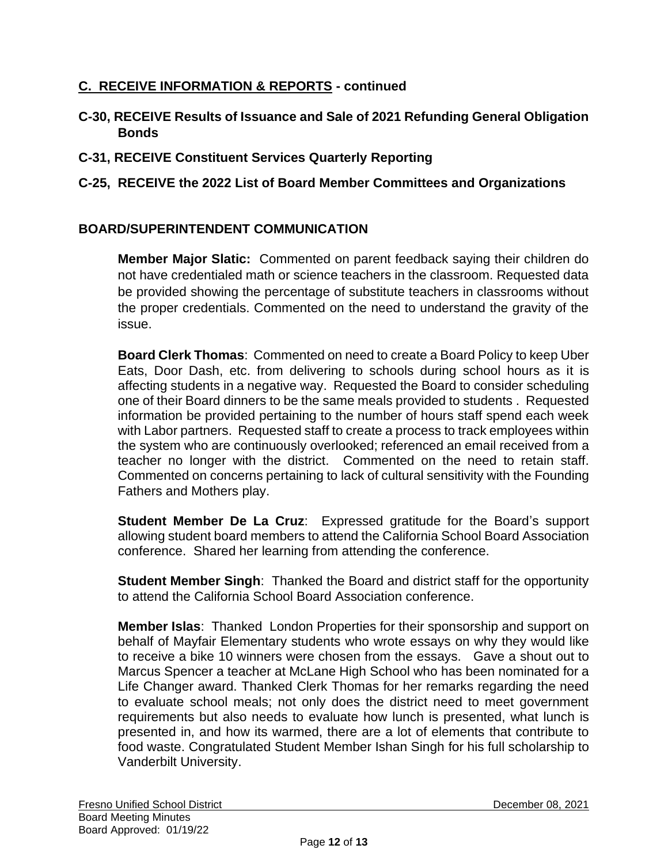## **C. RECEIVE INFORMATION & REPORTS - continued**

- **C-30, RECEIVE Results of Issuance and Sale of 2021 Refunding General Obligation Bonds**
- **C-31, RECEIVE Constituent Services Quarterly Reporting**

## **C-25, RECEIVE the 2022 List of Board Member Committees and Organizations**

## **BOARD/SUPERINTENDENT COMMUNICATION**

**Member Major Slatic:** Commented on parent feedback saying their children do not have credentialed math or science teachers in the classroom. Requested data be provided showing the percentage of substitute teachers in classrooms without the proper credentials. Commented on the need to understand the gravity of the issue.

**Board Clerk Thomas**: Commented on need to create a Board Policy to keep Uber Eats, Door Dash, etc. from delivering to schools during school hours as it is affecting students in a negative way. Requested the Board to consider scheduling one of their Board dinners to be the same meals provided to students . Requested information be provided pertaining to the number of hours staff spend each week with Labor partners. Requested staff to create a process to track employees within the system who are continuously overlooked; referenced an email received from a teacher no longer with the district. Commented on the need to retain staff. Commented on concerns pertaining to lack of cultural sensitivity with the Founding Fathers and Mothers play.

**Student Member De La Cruz**: Expressed gratitude for the Board's support allowing student board members to attend the California School Board Association conference. Shared her learning from attending the conference.

**Student Member Singh**: Thanked the Board and district staff for the opportunity to attend the California School Board Association conference.

**Member Islas**: Thanked London Properties for their sponsorship and support on behalf of Mayfair Elementary students who wrote essays on why they would like to receive a bike 10 winners were chosen from the essays. Gave a shout out to Marcus Spencer a teacher at McLane High School who has been nominated for a Life Changer award. Thanked Clerk Thomas for her remarks regarding the need to evaluate school meals; not only does the district need to meet government requirements but also needs to evaluate how lunch is presented, what lunch is presented in, and how its warmed, there are a lot of elements that contribute to food waste. Congratulated Student Member Ishan Singh for his full scholarship to Vanderbilt University.